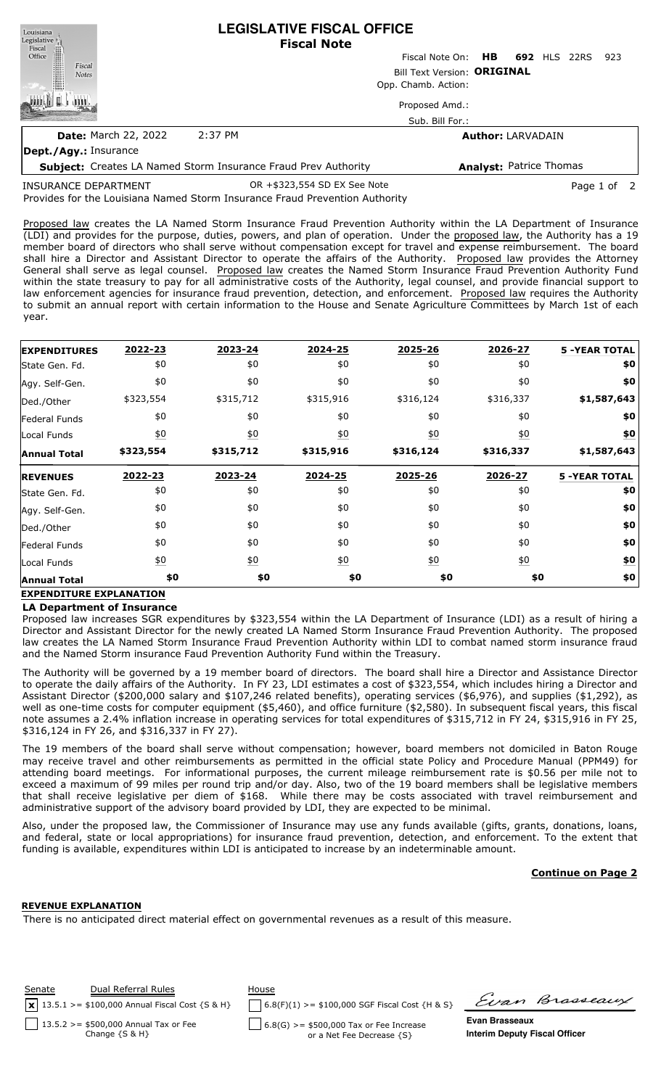| Louisiana<br>Legislative <sup>1</sup>                                 |                             | <b>LEGISLATIVE FISCAL OFFICE</b><br><b>Fiscal Note</b> |                                |              |     |
|-----------------------------------------------------------------------|-----------------------------|--------------------------------------------------------|--------------------------------|--------------|-----|
| Fiscal<br>Office                                                      |                             | Fiscal Note On: <b>HB</b>                              |                                | 692 HLS 22RS | 923 |
| Fiscal<br><b>Notes</b>                                                | Bill Text Version: ORIGINAL |                                                        |                                |              |     |
|                                                                       |                             | Opp. Chamb. Action:                                    |                                |              |     |
|                                                                       |                             | Proposed Amd.:                                         |                                |              |     |
|                                                                       |                             | Sub. Bill For.:                                        |                                |              |     |
| <b>Date: March 22, 2022</b>                                           | 2:37 PM                     |                                                        | <b>Author: LARVADAIN</b>       |              |     |
| Dept./Agy.: Insurance                                                 |                             |                                                        |                                |              |     |
| <b>Subject:</b> Creates LA Named Storm Insurance Fraud Prev Authority |                             |                                                        | <b>Analyst: Patrice Thomas</b> |              |     |
|                                                                       |                             |                                                        |                                |              |     |

Provides for the Louisiana Named Storm Insurance Fraud Prevention Authority INSURANCE DEPARTMENT OR +\$323,554 SD EX See Note Page 1 of 2

Proposed law creates the LA Named Storm Insurance Fraud Prevention Authority within the LA Department of Insurance (LDI) and provides for the purpose, duties, powers, and plan of operation. Under the proposed law, the Authority has a 19 member board of directors who shall serve without compensation except for travel and expense reimbursement. The board shall hire a Director and Assistant Director to operate the affairs of the Authority. Proposed law provides the Attorney General shall serve as legal counsel. Proposed law creates the Named Storm Insurance Fraud Prevention Authority Fund within the state treasury to pay for all administrative costs of the Authority, legal counsel, and provide financial support to law enforcement agencies for insurance fraud prevention, detection, and enforcement. Proposed law requires the Authority to submit an annual report with certain information to the House and Senate Agriculture Committees by March 1st of each year.

| <b>EXPENDITURES</b> | 2022-23          | 2023-24          | 2024-25          | 2025-26          | 2026-27           | <b>5 -YEAR TOTAL</b> |
|---------------------|------------------|------------------|------------------|------------------|-------------------|----------------------|
| State Gen. Fd.      | \$0              | \$0              | \$0              | \$0              | \$0               | \$0                  |
| Agy. Self-Gen.      | \$0              | \$0              | \$0              | \$0              | \$0               | \$0                  |
| Ded./Other          | \$323,554        | \$315,712        | \$315,916        | \$316,124        | \$316,337         | \$1,587,643          |
| Federal Funds       | \$0              | \$0              | \$0              | \$0              | \$0               | \$0                  |
| Local Funds         | $\underline{50}$ | 60               | $\underline{50}$ | $\underline{50}$ | $\underline{\$0}$ | \$0                  |
| <b>Annual Total</b> | \$323,554        | \$315,712        | \$315,916        | \$316,124        | \$316,337         | \$1,587,643          |
| <b>REVENUES</b>     | 2022-23          | 2023-24          | 2024-25          | 2025-26          | 2026-27           | <b>5 -YEAR TOTAL</b> |
| State Gen. Fd.      | \$0              | \$0              | \$0              | \$0              | \$0               | \$0                  |
| Agy. Self-Gen.      | \$0              | \$0              | \$0              | \$0              | \$0               | \$0                  |
| Ded./Other          | \$0              | \$0              | \$0              | \$0              | \$0               | \$0                  |
| Federal Funds       | \$0              | \$0              | \$0              | \$0              | \$0               | \$0                  |
| Local Funds         | $\underline{50}$ | $\underline{50}$ | $\underline{50}$ | $\underline{50}$ | $\underline{50}$  | <u>\$0</u>           |
| <b>Annual Total</b> | \$0              | \$0              | \$0              | \$0              | \$0               | \$0                  |

# **EXPENDITURE EXPLANATION**

### **LA Department of Insurance**

Proposed law increases SGR expenditures by \$323,554 within the LA Department of Insurance (LDI) as a result of hiring a Director and Assistant Director for the newly created LA Named Storm Insurance Fraud Prevention Authority. The proposed law creates the LA Named Storm Insurance Fraud Prevention Authority within LDI to combat named storm insurance fraud and the Named Storm insurance Faud Prevention Authority Fund within the Treasury.

The Authority will be governed by a 19 member board of directors. The board shall hire a Director and Assistance Director to operate the daily affairs of the Authority. In FY 23, LDI estimates a cost of \$323,554, which includes hiring a Director and Assistant Director (\$200,000 salary and \$107,246 related benefits), operating services (\$6,976), and supplies (\$1,292), as well as one-time costs for computer equipment (\$5,460), and office furniture (\$2,580). In subsequent fiscal years, this fiscal note assumes a 2.4% inflation increase in operating services for total expenditures of \$315,712 in FY 24, \$315,916 in FY 25, \$316,124 in FY 26, and \$316,337 in FY 27).

The 19 members of the board shall serve without compensation; however, board members not domiciled in Baton Rouge may receive travel and other reimbursements as permitted in the official state Policy and Procedure Manual (PPM49) for attending board meetings. For informational purposes, the current mileage reimbursement rate is \$0.56 per mile not to exceed a maximum of 99 miles per round trip and/or day. Also, two of the 19 board members shall be legislative members that shall receive legislative per diem of \$168. While there may be costs associated with travel reimbursement and administrative support of the advisory board provided by LDI, they are expected to be minimal.

Also, under the proposed law, the Commissioner of Insurance may use any funds available (gifts, grants, donations, loans, and federal, state or local appropriations) for insurance fraud prevention, detection, and enforcement. To the extent that funding is available, expenditures within LDI is anticipated to increase by an indeterminable amount.

## **Continue on Page 2**

### **REVENUE EXPLANATION**

There is no anticipated direct material effect on governmental revenues as a result of this measure.